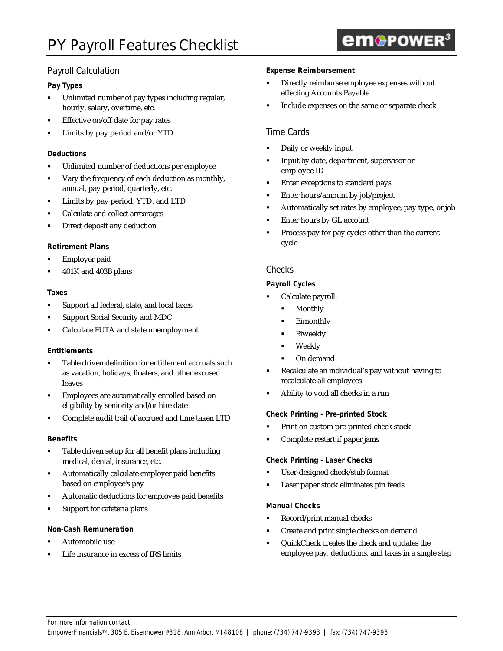# Payroll Calculation

# **Pay Types**

- ß Unlimited number of pay types including regular, hourly, salary, overtime, etc.
- ß Effective on/off date for pay rates
- ß Limits by pay period and/or YTD

## **Deductions**

- **•** Unlimited number of deductions per employee
- Vary the frequency of each deduction as monthly, annual, pay period, quarterly, etc.
- ß Limits by pay period, YTD, and LTD
- ß Calculate and collect arrearages
- ß Direct deposit any deduction

## **Retirement Plans**

- ß Employer paid
- ß 401K and 403B plans

#### **Taxes**

- **Support all federal, state, and local taxes**
- ß Support Social Security and MDC
- ß Calculate FUTA and state unemployment

#### **Entitlements**

- ß Table driven definition for entitlement accruals such as vacation, holidays, floaters, and other excused leaves
- ß Employees are automatically enrolled based on eligibility by seniority and/or hire date
- ß Complete audit trail of accrued and time taken LTD

#### **Benefits**

- Table driven setup for all benefit plans including medical, dental, insurance, etc.
- ß Automatically calculate employer paid benefits based on employee's pay
- ß Automatic deductions for employee paid benefits
- Support for cafeteria plans

#### **Non-Cash Remuneration**

- ß Automobile use
- ß Life insurance in excess of IRS limits

#### **Expense Reimbursement**

- ß Directly reimburse employee expenses without effecting Accounts Payable
- ß Include expenses on the same or separate check

## Time Cards

- ß Daily or weekly input
- ß Input by date, department, supervisor or employee ID
- ß Enter exceptions to standard pays
- **Enter hours/amount by job/project**
- ß Automatically set rates by employee, pay type, or job
- ß Enter hours by GL account
- ß Process pay for pay cycles other than the current cycle

## **Checks**

## **Payroll Cycles**

- ß Calculate payroll:
	- Monthly
	- **Bimonthly**
	- **Biweekly**
	- **Weekly**
	- ß On demand
- ß Recalculate an individual's pay without having to recalculate all employees
- ß Ability to void all checks in a run

#### **Check Printing - Pre-printed Stock**

- ß Print on custom pre-printed check stock
- ß Complete restart if paper jams

#### **Check Printing - Laser Checks**

- ß User-designed check/stub format
- ß Laser paper stock eliminates pin feeds

#### **Manual Checks**

- ß Record/print manual checks
- ß Create and print single checks on demand
- ß QuickCheck creates the check and updates the employee pay, deductions, and taxes in a single step

# **em**®POWER<sup>3</sup>